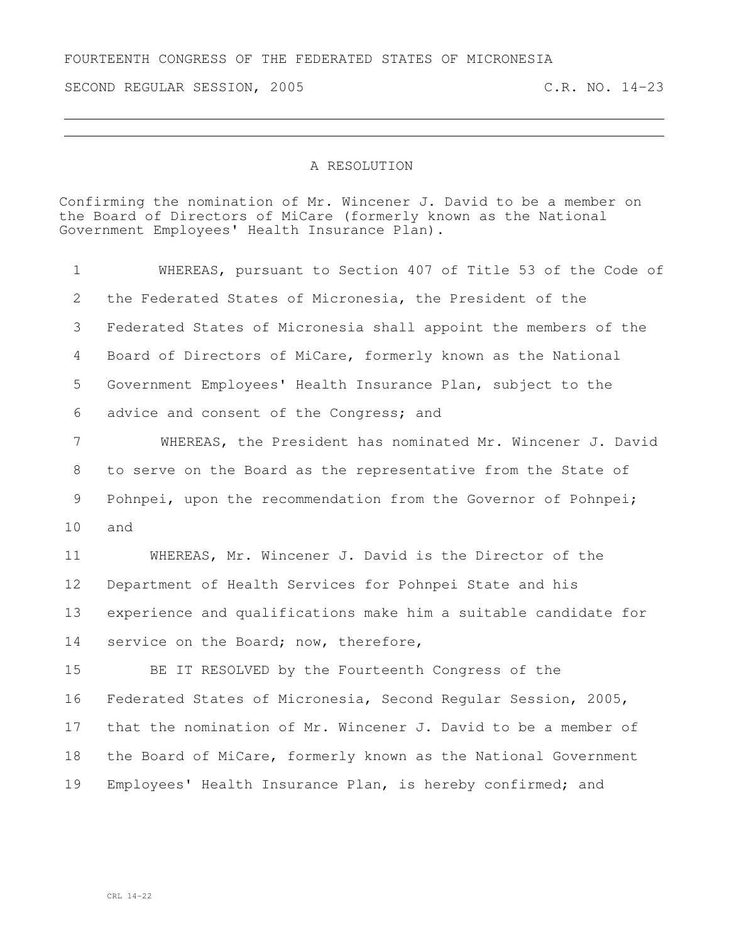## FOURTEENTH CONGRESS OF THE FEDERATED STATES OF MICRONESIA

SECOND REGULAR SESSION, 2005 C.R. NO. 14-23

## A RESOLUTION

Confirming the nomination of Mr. Wincener J. David to be a member on the Board of Directors of MiCare (formerly known as the National Government Employees' Health Insurance Plan).

 WHEREAS, pursuant to Section 407 of Title 53 of the Code of the Federated States of Micronesia, the President of the Federated States of Micronesia shall appoint the members of the Board of Directors of MiCare, formerly known as the National Government Employees' Health Insurance Plan, subject to the advice and consent of the Congress; and WHEREAS, the President has nominated Mr. Wincener J. David to serve on the Board as the representative from the State of Pohnpei, upon the recommendation from the Governor of Pohnpei; and WHEREAS, Mr. Wincener J. David is the Director of the Department of Health Services for Pohnpei State and his experience and qualifications make him a suitable candidate for 14 service on the Board; now, therefore, BE IT RESOLVED by the Fourteenth Congress of the Federated States of Micronesia, Second Regular Session, 2005,

 that the nomination of Mr. Wincener J. David to be a member of the Board of MiCare, formerly known as the National Government Employees' Health Insurance Plan, is hereby confirmed; and